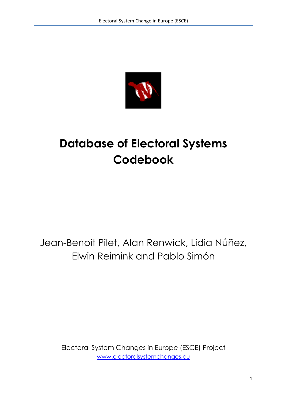

# **Database of Electoral Systems Codebook**

# Jean-Benoit Pilet, Alan Renwick, Lidia Núñez, Elwin Reimink and Pablo Simón

Electoral System Changes in Europe (ESCE) Project www.electoralsystemchanges.eu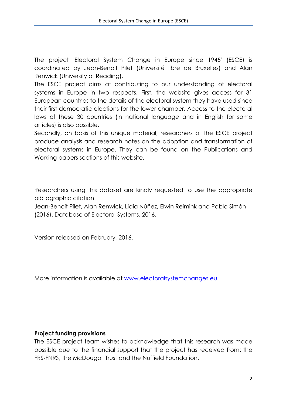The project 'Electoral System Change in Europe since 1945' (ESCE) is coordinated by Jean-Benoit Pilet (Université libre de Bruxelles) and Alan Renwick (University of Reading).

The ESCE project aims at contributing to our understanding of electoral systems in Europe in two respects. First, the website gives access for 31 European countries to the details of the electoral system they have used since their first democratic elections for the lower chamber. Access to the electoral laws of these 30 countries (in national language and in English for some articles) is also possible.

Secondly, on basis of this unique material, researchers of the ESCE project produce analysis and research notes on the adoption and transformation of electoral systems in Europe. They can be found on the Publications and Working papers sections of this website.

Researchers using this dataset are kindly requested to use the appropriate bibliographic citation:

Jean-Benoit Pilet, Alan Renwick, Lidia Núñez, Elwin Reimink and Pablo Simón (2016). Database of Electoral Systems. 2016.

Version released on February, 2016.

More information is available at www.electoralsystemchanges.eu

#### **Project funding provisions**

The ESCE project team wishes to acknowledge that this research was made possible due to the financial support that the project has received from: the FRS-FNRS, the McDougall Trust and the Nuffield Foundation.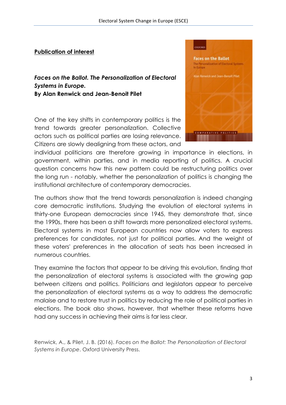#### **Publication of interest**

*Faces on the Ballot. The Personalization of Electoral Systems in Europe.* **By Alan Renwick and Jean-Benoit Pilet**

One of the key shifts in contemporary politics is the trend towards greater personalization. Collective actors such as political parties are losing relevance. Citizens are slowly dealigning from these actors, and



individual politicians are therefore growing in importance in elections, in government, within parties, and in media reporting of politics. A crucial question concerns how this new pattern could be restructuring politics over the long run - notably, whether the personalization of politics is changing the institutional architecture of contemporary democracies.

The authors show that the trend towards personalization is indeed changing core democratic institutions. Studying the evolution of electoral systems in thirty-one European democracies since 1945, they demonstrate that, since the 1990s, there has been a shift towards more personalized electoral systems. Electoral systems in most European countries now allow voters to express preferences for candidates, not just for political parties. And the weight of these voters' preferences in the allocation of seats has been increased in numerous countries.

They examine the factors that appear to be driving this evolution, finding that the personalization of electoral systems is associated with the growing gap between citizens and politics. Politicians and legislators appear to perceive the personalization of electoral systems as a way to address the democratic malaise and to restore trust in politics by reducing the role of political parties in elections. The book also shows, however, that whether these reforms have had any success in achieving their aims is far less clear.

Renwick, A., & Pilet, J. B. (2016). *Faces on the Ballot: The Personalization of Electoral Systems in Europe*. Oxford University Press.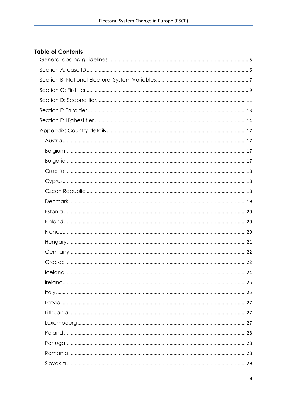# **Table of Contents**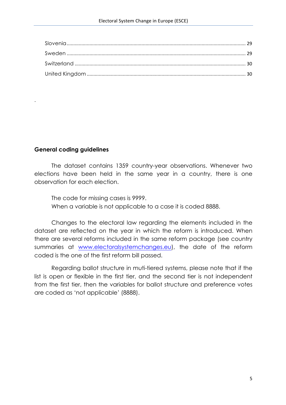# **General coding guidelines**

.

The dataset contains 1359 country-year observations. Whenever two elections have been held in the same year in a country, there is one observation for each election.

The code for missing cases is 9999. When a variable is not applicable to a case it is coded 8888.

Changes to the electoral law regarding the elements included in the dataset are reflected on the year in which the reform is introduced. When there are several reforms included in the same reform package (see country summaries at www.electoralsystemchanges.eu), the date of the reform coded is the one of the first reform bill passed.

Regarding ballot structure in muti-tiered systems, please note that if the list is open or flexible in the first tier, and the second tier is not independent from the first tier, then the variables for ballot structure and preference votes are coded as 'not applicable' (8888).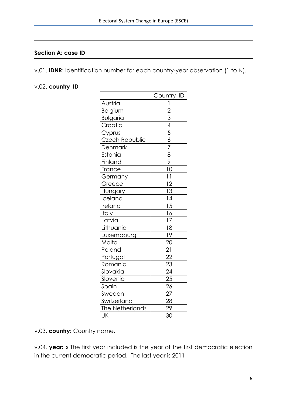#### **Section A: case ID**

v.01. **IDNR**: Identification number for each country-year observation (1 to N).

#### v.02. **country\_ID**

|                 | Country_ID                                                            |
|-----------------|-----------------------------------------------------------------------|
| Austria         | 1                                                                     |
| Belgium         |                                                                       |
| <b>Bulgaria</b> |                                                                       |
| Croatia         |                                                                       |
| Cyprus          |                                                                       |
| Czech Republic  | $\frac{2}{3}$ $\frac{3}{4}$ $\frac{4}{5}$ $\frac{6}{6}$ $\frac{7}{7}$ |
| <b>Denmark</b>  |                                                                       |
| Estonia         | $\frac{8}{9}$                                                         |
| Finland         |                                                                       |
| France          | 10                                                                    |
| Germany         | $\overline{11}$                                                       |
| Greece          | $\overline{12}$                                                       |
| <u>Hungary</u>  |                                                                       |
| Iceland         |                                                                       |
| Ireland         | $\frac{13}{14}$<br>$\frac{15}{16}$<br>$\frac{16}{17}$                 |
| <b>Italy</b>    |                                                                       |
| Latvia          |                                                                       |
| Lithuania       | $\overline{18}$                                                       |
| Luxembourg      | $1\overline{9}$                                                       |
| Malta           | $\overline{20}$                                                       |
| Poland          | $\overline{21}$                                                       |
| Portugal        | $\overline{22}$                                                       |
| Romania         | $\overline{23}$                                                       |
| Slovakia        |                                                                       |
| Slovenia        | $\frac{24}{25}$<br>$\frac{25}{26}$                                    |
| Spain           |                                                                       |
| Sweden          | 27                                                                    |
| Switzerland     | $\frac{1}{28}$                                                        |
| The Netherlands | 29                                                                    |
| UK              | $\overline{30}$                                                       |

v.03. **country:** Country name.

v.04. **year:** « The first year included is the year of the first democratic election in the current democratic period. The last year is 2011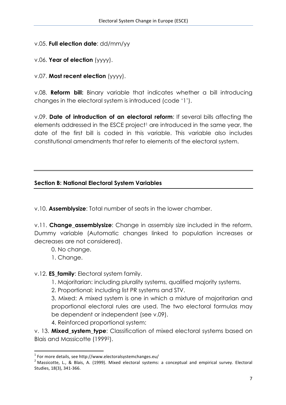# v.05. **Full election date**: dd/mm/yy

# v.06. **Year of election** (yyyy).

v.07. **Most recent election** (yyyy).

v.08. **Reform bill:** Binary variable that indicates whether a bill introducing changes in the electoral system is introduced (code '1').

v.09. **Date of introduction of an electoral reform**: If several bills affecting the elements addressed in the ESCE project<sup>1</sup> are introduced in the same year, the date of the first bill is coded in this variable. This variable also includes constitutional amendments that refer to elements of the electoral system.

### **Section B: National Electoral System Variables**

v.10. **Assemblysize**: Total number of seats in the lower chamber.

v.11. **Change assemblysize**: Change in assembly size included in the reform. Dummy variable (Automatic changes linked to population increases or decreases are not considered).

- 0. No change.
- 1. Change.

<u> 1989 - Johann Stein, marwolaethau a bh</u>

v.12. **ES\_family**: Electoral system family.

- 1. Majoritarian: including plurality systems, qualified majority systems.
- 2. Proportional: including list PR systems and STV.

3. Mixed: A mixed system is one in which a mixture of majoritarian and proportional electoral rules are used. The two electoral formulas may be dependent or independent (see v.09).

4. Reinforced proportional system:

v. 13. **Mixed\_system\_type**: Classification of mixed electoral systems based on Blais and Massicotte (19992).

 $1$  For more details, see http://www.electoralsystemchanges.eu/

 $2$  Massicotte, L., & Blais, A. (1999). Mixed electoral systems: a conceptual and empirical survey. Electoral Studies, 18(3), 341-366.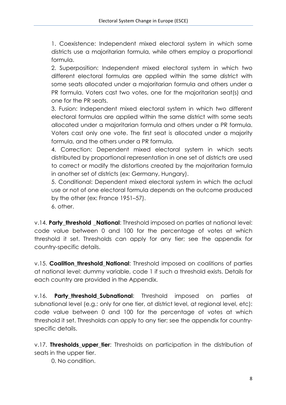1. Coexistence: Independent mixed electoral system in which some districts use a majoritarian formula, while others employ a proportional formula.

2. Superposition: Independent mixed electoral system in which two different electoral formulas are applied within the same district with some seats allocated under a majoritarian formula and others under a PR formula. Voters cast two votes, one for the majoritarian seat(s) and one for the PR seats.

3. Fusion: Independent mixed electoral system in which two different electoral formulas are applied within the same district with some seats allocated under a majoritarian formula and others under a PR formula. Voters cast only one vote. The first seat is allocated under a majority formula, and the others under a PR formula.

4. Correction: Dependent mixed electoral system in which seats distributed by proportional representation in one set of districts are used to correct or modify the distortions created by the majoritarian formula in another set of districts (ex: Germany, Hungary).

5. Conditional: Dependent mixed electoral system in which the actual use or not of one electoral formula depends on the outcome produced by the other (ex: France 1951–57).

6. other.

v.14. **Party threshold National**: Threshold imposed on parties at national level: code value between 0 and 100 for the percentage of votes at which threshold it set. Thresholds can apply for any tier; see the appendix for country-specific details.

v.15. **Coalition\_threshold\_National**: Threshold imposed on coalitions of parties at national level: dummy variable, code 1 if such a threshold exists. Details for each country are provided in the Appendix.

v.16. **Party\_threshold\_Subnational**: Threshold imposed on parties at subnational level (e.g.: only for one tier, at district level, at regional level, etc): code value between 0 and 100 for the percentage of votes at which threshold it set. Thresholds can apply to any tier; see the appendix for countryspecific details.

v.17. **Thresholds upper tier**: Thresholds on participation in the distribution of seats in the upper tier.

0. No condition.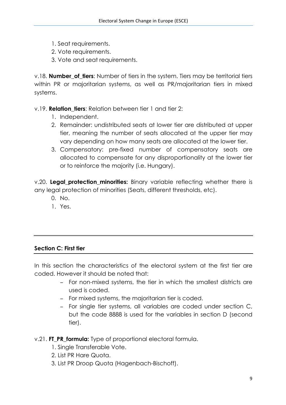- 1. Seat requirements.
- 2. Vote requirements.
- 3. Vote and seat requirements.

v.18. **Number of tiers**: Number of tiers in the system. Tiers may be territorial tiers within PR or majoritarian systems, as well as PR/majoritarian tiers in mixed systems.

v.19. **Relation\_tiers**: Relation between tier 1 and tier 2:

- 1. Independent.
- 2. Remainder: undistributed seats at lower tier are distributed at upper tier, meaning the number of seats allocated at the upper tier may vary depending on how many seats are allocated at the lower tier.
- 3. Compensatory: pre-fixed number of compensatory seats are allocated to compensate for any disproportionality at the lower tier or to reinforce the majority (i.e. Hungary).

v.20. **Legal protection minorities:** Binary variable reflecting whether there is any legal protection of minorities (Seats, different thresholds, etc).

- 0. No.
- 1. Yes.

#### **Section C: First tier**

In this section the characteristics of the electoral system at the first tier are coded. However it should be noted that:

- − For non-mixed systems, the tier in which the smallest districts are used is coded.
- − For mixed systems, the majoritarian tier is coded.
- − For single tier systems, all variables are coded under section C, but the code 8888 is used for the variables in section D (second tier).

#### v.21. **FT\_PR\_formula:** Type of proportional electoral formula.

- 1. Single Transferable Vote.
- 2. List PR Hare Quota.
- 3. List PR Droop Quota (Hagenbach-Bischoff).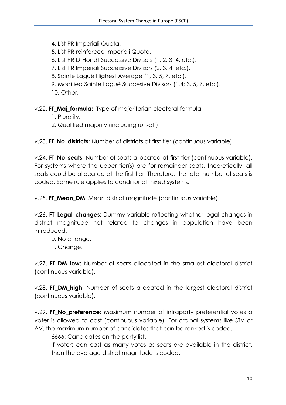4. List PR Imperiali Quota.

5. List PR reinforced Imperiali Quota.

6. List PR D'Hondt Successive Divisors (1, 2, 3, 4, etc.).

7. List PR Imperiali Successive Divisors (2, 3, 4, etc.).

8. Sainte Laguë Highest Average (1, 3, 5, 7, etc.).

9. Modified Sainte Laguë Succesive Divisors (1.4; 3, 5, 7, etc.).

10. Other.

v.22. **FT\_Maj\_formula:** Type of majoritarian electoral formula

1. Plurality.

2. Qualified majority (including run-off).

v.23. **FT\_No\_districts**: Number of districts at first tier (continuous variable).

v.24. **FT\_No\_seats**: Number of seats allocated at first tier (continuous variable). For systems where the upper tier(s) are for remainder seats, theoretically, all seats could be allocated at the first tier. Therefore, the total number of seats is coded. Same rule applies to conditional mixed systems.

v.25. **FT Mean DM:** Mean district magnitude (continuous variable).

v.26. **FT\_Legal\_changes**: Dummy variable reflecting whether legal changes in district magnitude not related to changes in population have been introduced.

0. No change.

1. Change.

v.27. **FT\_DM\_low**: Number of seats allocated in the smallest electoral district (continuous variable).

v.28. **FT\_DM\_high**: Number of seats allocated in the largest electoral district (continuous variable).

v.29. **FT No preference**: Maximum number of intraparty preferential votes a voter is allowed to cast (continuous variable). For ordinal systems like STV or AV, the maximum number of candidates that can be ranked is coded.

6666: Candidates on the party list.

If voters can cast as many votes as seats are available in the district, then the average district magnitude is coded.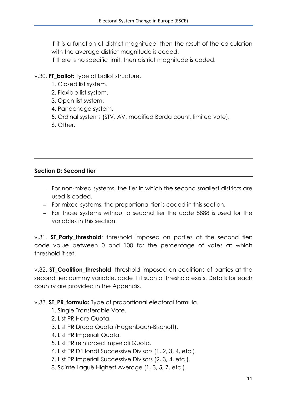If it is a function of district magnitude, then the result of the calculation with the average district magnitude is coded.

If there is no specific limit, then district magnitude is coded.

# v.30. **FT** ballot: Type of ballot structure.

- 1. Closed list system.
- 2. Flexible list system.
- 3. Open list system.
- 4. Panachage system.
- 5. Ordinal systems (STV, AV, modified Borda count, limited vote).
- 6. Other.

# **Section D: Second tier**

- − For non-mixed systems, the tier in which the second smallest districts are used is coded.
- − For mixed systems, the proportional tier is coded in this section.
- − For those systems without a second tier the code 8888 is used for the variables in this section.

v.31. **ST\_Party\_threshold**: threshold imposed on parties at the second tier: code value between 0 and 100 for the percentage of votes at which threshold it set.

v.32. **ST\_Coalition\_threshold**: threshold imposed on coalitions of parties at the second tier: dummy variable, code 1 if such a threshold exists. Details for each country are provided in the Appendix.

v.33. **ST\_PR\_formula:** Type of proportional electoral formula.

- 1. Single Transferable Vote.
- 2. List PR Hare Quota.
- 3. List PR Droop Quota (Hagenbach-Bischoff).
- 4. List PR Imperiali Quota.
- 5. List PR reinforced Imperiali Quota.
- 6. List PR D'Hondt Successive Divisors (1, 2, 3, 4, etc.).
- 7. List PR Imperiali Successive Divisors (2, 3, 4, etc.).
- 8. Sainte Laguë Highest Average (1, 3, 5, 7, etc.).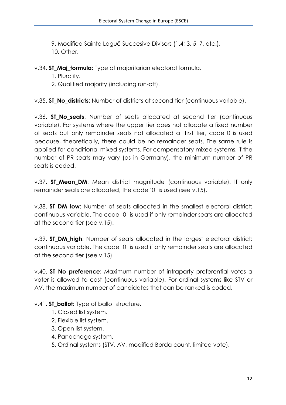9. Modified Sainte Laguë Succesive Divisors (1.4; 3, 5, 7, etc.). 10. Other.

v.34. **ST\_Maj\_formula:** Type of majoritarian electoral formula.

1. Plurality.

2. Qualified majority (including run-off).

v.35. **ST\_No\_districts**: Number of districts at second tier (continuous variable).

v.36. **ST No seats**: Number of seats allocated at second tier (continuous variable). For systems where the upper tier does not allocate a fixed number of seats but only remainder seats not allocated at first tier, code 0 is used because, theoretically, there could be no remainder seats. The same rule is applied for conditional mixed systems. For compensatory mixed systems, if the number of PR seats may vary (as in Germany), the minimum number of PR seats is coded.

v.37. **ST Mean\_DM**: Mean district magnitude (continuous variable). If only remainder seats are allocated, the code '0' is used (see v.15).

v.38. **ST\_DM\_low**: Number of seats allocated in the smallest electoral district: continuous variable. The code '0' is used if only remainder seats are allocated at the second tier (see v.15).

v.39. **ST\_DM\_high**: Number of seats allocated in the largest electoral district: continuous variable. The code '0' is used if only remainder seats are allocated at the second tier (see v.15).

v.40. **ST No preference**: Maximum number of intraparty preferential votes a voter is allowed to cast (continuous variable). For ordinal systems like STV or AV, the maximum number of candidates that can be ranked is coded.

# v.41. **ST\_ballot:** Type of ballot structure.

- 1. Closed list system.
- 2. Flexible list system.
- 3. Open list system.
- 4. Panachage system.
- 5. Ordinal systems (STV, AV, modified Borda count, limited vote).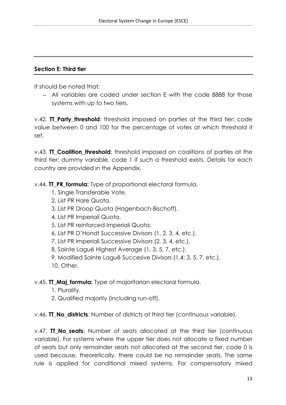#### **Section E: Third tier**

It should be noted that:

− All variables are coded under section E with the code 8888 for those systems with up to two tiers.

v.42. **TT\_Party\_threshold**: threshold imposed on parties at the third tier: code value between 0 and 100 for the percentage of votes at which threshold it set.

v.43. **TT Coalition threshold**: threshold imposed on coalitions of parties at the third tier: dummy variable, code 1 if such a threshold exists. Details for each country are provided in the Appendix.

v.44. **TT\_PR\_formula:** Type of proportional electoral formula.

- 1. Single Transferable Vote.
- 2. List PR Hare Quota.
- 3. List PR Droop Quota (Hagenbach-Bischoff).
- 4. List PR Imperiali Quota.
- 5. List PR reinforced Imperiali Quota.
- 6. List PR D'Hondt Successive Divisors (1, 2, 3, 4, etc.).
- 7. List PR Imperiali Successive Divisors (2, 3, 4, etc.).
- 8. Sainte Laguë Highest Average (1, 3, 5, 7, etc.).
- 9. Modified Sainte Laguë Succesive Divisors (1.4; 3, 5, 7, etc.).
- 10. Other.

v.45. **TT\_Maj\_formula:** Type of majoritarian electoral formula.

- 1. Plurality.
- 2. Qualified majority (including run-off).

v.46. **TT\_No\_districts**: Number of districts at third tier (continuous variable).

v.47. **TT\_No\_seats**: Number of seats allocated at the third tier (continuous variable). For systems where the upper tier does not allocate a fixed number of seats but only remainder seats not allocated at the second tier, code 0 is used because, theoretically, there could be no remainder seats. The same rule is applied for conditional mixed systems. For compensatory mixed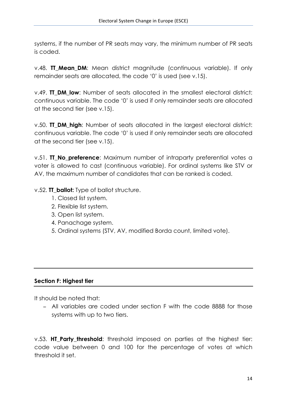systems, if the number of PR seats may vary, the minimum number of PR seats is coded.

v.48. **TT\_Mean\_DM**: Mean district magnitude (continuous variable). If only remainder seats are allocated, the code '0' is used (see v.15).

v.49. **TT\_DM\_low**: Number of seats allocated in the smallest electoral district: continuous variable. The code '0' is used if only remainder seats are allocated at the second tier (see v.15).

v.50. **TT\_DM\_high**: Number of seats allocated in the largest electoral district: continuous variable. The code '0' is used if only remainder seats are allocated at the second tier (see v.15).

v.51. **TT No preference**: Maximum number of intraparty preferential votes a voter is allowed to cast (continuous variable). For ordinal systems like STV or AV, the maximum number of candidates that can be ranked is coded.

v.52. **TT\_ballot:** Type of ballot structure.

- 1. Closed list system.
- 2. Flexible list system.
- 3. Open list system.
- 4. Panachage system.
- 5. Ordinal systems (STV, AV, modified Borda count, limited vote).

#### **Section F: Highest tier**

It should be noted that:

− All variables are coded under section F with the code 8888 for those systems with up to two tiers.

v.53. **HT Party threshold**: threshold imposed on parties at the highest tier: code value between 0 and 100 for the percentage of votes at which threshold it set.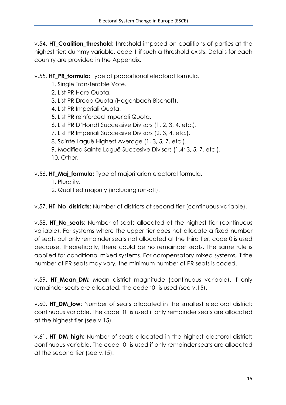v.54. **HT\_Coalition\_threshold**: threshold imposed on coalitions of parties at the highest tier: dummy variable, code 1 if such a threshold exists. Details for each country are provided in the Appendix.

v.55. **HT\_PR\_formula:** Type of proportional electoral formula.

- 1. Single Transferable Vote.
- 2. List PR Hare Quota.
- 3. List PR Droop Quota (Hagenbach-Bischoff).
- 4. List PR Imperiali Quota.
- 5. List PR reinforced Imperiali Quota.
- 6. List PR D'Hondt Successive Divisors (1, 2, 3, 4, etc.).
- 7. List PR Imperiali Successive Divisors (2, 3, 4, etc.).
- 8. Sainte Laguë Highest Average (1, 3, 5, 7, etc.).
- 9. Modified Sainte Laguë Succesive Divisors (1.4; 3, 5, 7, etc.).
- 10. Other.

v.56. **HT\_Maj\_formula:** Type of majoritarian electoral formula.

- 1. Plurality.
- 2. Qualified majority (including run-off).

v.57. **HT\_No\_districts**: Number of districts at second tier (continuous variable).

v.58. **HT No seats:** Number of seats allocated at the highest tier (continuous variable). For systems where the upper tier does not allocate a fixed number of seats but only remainder seats not allocated at the third tier, code 0 is used because, theoretically, there could be no remainder seats. The same rule is applied for conditional mixed systems. For compensatory mixed systems, if the number of PR seats may vary, the minimum number of PR seats is coded.

v.59. **HT\_Mean\_DM**: Mean district magnitude (continuous variable). If only remainder seats are allocated, the code '0' is used (see v.15).

v.60. **HT\_DM\_low:** Number of seats allocated in the smallest electoral district: continuous variable. The code '0' is used if only remainder seats are allocated at the highest tier (see v.15).

v.61. **HT\_DM\_high**: Number of seats allocated in the highest electoral district: continuous variable. The code '0' is used if only remainder seats are allocated at the second tier (see v.15).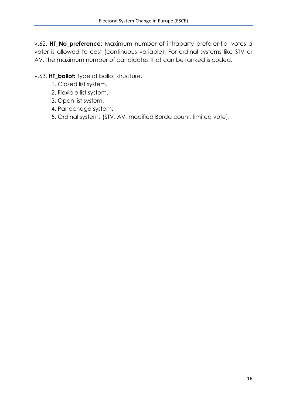v.62. **HT\_No\_preference**: Maximum number of intraparty preferential votes a voter is allowed to cast (continuous variable). For ordinal systems like STV or AV, the maximum number of candidates that can be ranked is coded.

# v.63. **HT\_ballot:** Type of ballot structure.

- 1. Closed list system.
- 2. Flexible list system.
- 3. Open list system.
- 4. Panachage system.
- 5. Ordinal systems (STV, AV, modified Borda count, limited vote).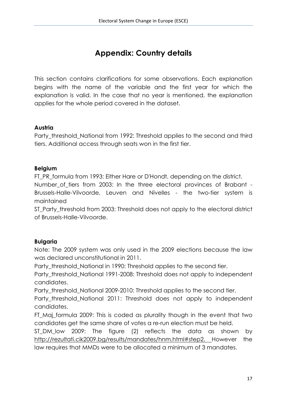# **Appendix: Country details**

This section contains clarifications for some observations. Each explanation begins with the name of the variable and the first year for which the explanation is valid. In the case that no year is mentioned, the explanation applies for the whole period covered in the dataset.

### **Austria**

Party threshold National from 1992: Threshold applies to the second and third tiers. Additional access through seats won in the first tier.

### **Belgium**

FT PR formula from 1993: Either Hare or D'Hondt, depending on the district.

Number\_of\_tiers from 2003: In the three electoral provinces of Brabant - Brussels-Halle-Vilvoorde, Leuven and Nivelles - the two-tier system is maintained

ST\_Party\_threshold from 2003: Threshold does not apply to the electoral district of Brussels-Halle-Vilvoorde.

# **Bulgaria**

Note: The 2009 system was only used in the 2009 elections because the law was declared unconstitutional in 2011.

Party threshold National in 1990: Threshold applies to the second tier.

Party\_threshold\_National 1991-2008: Threshold does not apply to independent candidates.

Party\_threshold\_National 2009-2010: Threshold applies to the second tier.

Party\_threshold\_National 2011: Threshold does not apply to independent candidates.

FT\_Maj\_formula 2009: This is coded as plurality though in the event that two candidates get the same share of votes a re-run election must be held.

ST\_DM\_low 2009: The figure (2) reflects the data as shown by http://rezultati.cik2009.bg/results/mandates/hnm.html#step2. However the law requires that MMDs were to be allocated a minimum of 3 mandates.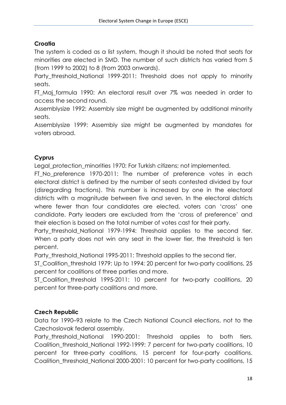# **Croatia**

The system is coded as a list system, though it should be noted that seats for minorities are elected in SMD. The number of such districts has varied from 5 (from 1999 to 2002) to 8 (from 2003 onwards).

Party threshold National 1999-2011: Threshold does not apply to minority seats.

FT Maj formula 1990: An electoral result over 7% was needed in order to access the second round.

Assemblysize 1992: Assembly size might be augmented by additional minority seats.

Assemblysize 1999: Assembly size might be augmented by mandates for voters abroad.

# **Cyprus**

Legal protection minorities 1970: For Turkish citizens; not implemented.

FT No preference 1970-2011: The number of preference votes in each electoral district is defined by the number of seats contested divided by four (disregarding fractions). This number is increased by one in the electoral districts with a magnitude between five and seven. In the electoral districts where fewer than four candidates are elected, voters can 'cross' one candidate. Party leaders are excluded from the 'cross of preference' and their election is based on the total number of votes cast for their party.

Party\_threshold\_National 1979-1994: Threshold applies to the second tier. When a party does not win any seat in the lower tier, the threshold is ten percent.

Party threshold National 1995-2011: Threshold applies to the second tier.

ST\_Coalition\_threshold 1979: Up to 1994: 20 percent for two-party coalitions, 25 percent for coalitions of three parties and more.

ST\_Coalition\_threshold 1995-2011: 10 percent for two-party coalitions, 20 percent for three-party coalitions and more.

# **Czech Republic**

Data for 1990–93 relate to the Czech National Council elections, not to the Czechoslovak federal assembly.

Party\_threshold\_National 1990-2001: Threshold applies to both tiers. Coalition threshold National 1992-1999: 7 percent for two-party coalitions, 10 percent for three-party coalitions, 15 percent for four-party coalitions. Coalition\_threshold\_National 2000-2001: 10 percent for two-party coalitions, 15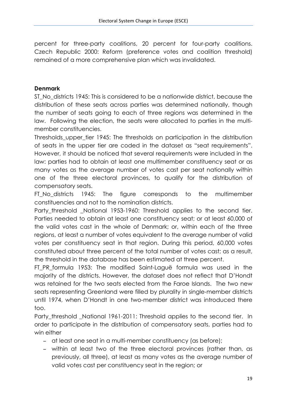percent for three-party coalitions, 20 percent for four-party coalitions. Czech Republic 2000: Reform (preference votes and coalition threshold) remained of a more comprehensive plan which was invalidated.

# **Denmark**

ST No districts 1945: This is considered to be a nationwide district, because the distribution of these seats across parties was determined nationally, though the number of seats going to each of three regions was determined in the law. Following the election, the seats were allocated to parties in the multimember constituencies.

Thresholds\_upper\_tier 1945: The thresholds on participation in the distribution of seats in the upper tier are coded in the dataset as "seat requirements". However, it should be noticed that several requirements were included in the law: parties had to obtain at least one multimember constituency seat or as many votes as the average number of votes cast per seat nationally within one of the three electoral provinces, to qualify for the distribution of compensatory seats.

FT No districts 1945: The figure corresponds to the multimember constituencies and not to the nomination districts.

Party threshold \_National 1953-1960: Threshold applies to the second tier. Parties needed to obtain at least one constituency seat; or at least 60,000 of the valid votes cast in the whole of Denmark; or, within each of the three regions, at least a number of votes equivalent to the average number of valid votes per constituency seat in that region. During this period, 60,000 votes constituted about three percent of the total number of votes cast; as a result, the threshold in the database has been estimated at three percent.

FT PR formula 1953: The modified Saint-Laguë formula was used in the majority of the districts. However, the dataset does not reflect that D'Hondt was retained for the two seats elected from the Faroe Islands. The two new seats representing Greenland were filled by plurality in single-member districts until 1974, when D'Hondt in one two-member district was introduced there too.

Party\_threshold \_National 1961-2011: Threshold applies to the second tier. In order to participate in the distribution of compensatory seats, parties had to win either

- − at least one seat in a multi-member constituency (as before);
- − within at least two of the three electoral provinces (rather than, as previously, all three), at least as many votes as the average number of valid votes cast per constituency seat in the region; or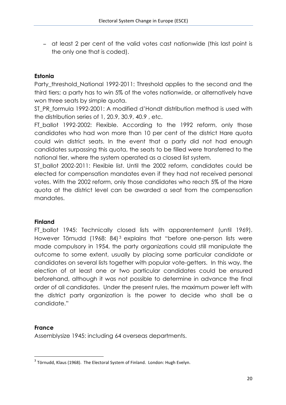− at least 2 per cent of the valid votes cast nationwide (this last point is the only one that is coded).

### **Estonia**

Party threshold National 1992-2011: Threshold applies to the second and the third tiers; a party has to win 5% of the votes nationwide, or alternatively have won three seats by simple quota.

ST\_PR\_formula 1992-2001: A modified d'Hondt distribution method is used with the distribution series of 1, 20.9, 30.9, 40.9 , etc.

FT ballot 1992-2002: Flexible. According to the 1992 reform, only those candidates who had won more than 10 per cent of the district Hare quota could win district seats. In the event that a party did not had enough candidates surpassing this quota, the seats to be filled were transferred to the national tier, where the system operated as a closed list system.

ST ballot 2002-2011: Flexible list. Until the 2002 reform, candidates could be elected for compensation mandates even if they had not received personal votes. With the 2002 reform, only those candidates who reach 5% of the Hare quota at the district level can be awarded a seat from the compensation mandates.

#### **Finland**

FT ballot 1945: Technically closed lists with apparentement (until 1969). However Törnudd (1968: 84)<sup>3</sup> explains that "before one-person lists were made compulsory in 1954, the party organizations could still manipulate the outcome to some extent, usually by placing some particular candidate or candidates on several lists together with popular vote-getters. In this way, the election of at least one or two particular candidates could be ensured beforehand, although it was not possible to determine in advance the final order of all candidates. Under the present rules, the maximum power left with the district party organization is the power to decide who shall be a candidate."

#### **France**

<u> 1989 - Johann Stein, marwolaethau a bh</u>

Assemblysize 1945: including 64 overseas departments.

 $3$  Törnudd, Klaus (1968). The Electoral System of Finland. London: Hugh Evelyn.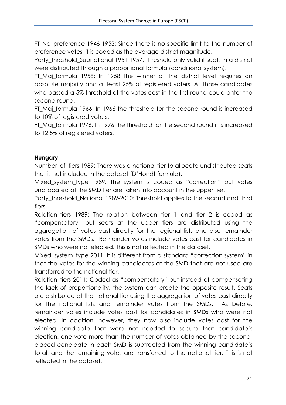FT\_No\_preference 1946-1953: Since there is no specific limit to the number of preference votes, it is coded as the average district magnitude.

Party\_threshold\_Subnational 1951-1957: Threshold only valid if seats in a district were distributed through a proportional formula (conditional system).

FT Maj formula 1958: In 1958 the winner at the district level requires an absolute majority and at least 25% of registered voters. All those candidates who passed a 5% threshold of the votes cast in the first round could enter the second round.

FT Maj formula 1966: In 1966 the threshold for the second round is increased to 10% of registered voters.

FT Mai formula 1976: In 1976 the threshold for the second round it is increased to 12.5% of registered voters.

# **Hungary**

Number of tiers 1989: There was a national tier to allocate undistributed seats that is not included in the dataset (D'Hondt formula).

Mixed system type 1989: The system is coded as "correction" but votes unallocated at the SMD tier are taken into account in the upper tier.

Party\_threshold\_National 1989-2010: Threshold applies to the second and third tiers.

Relation tiers 1989: The relation between tier 1 and tier 2 is coded as "compensatory" but seats at the upper tiers are distributed using the aggregation of votes cast directly for the regional lists and also remainder votes from the SMDs. Remainder votes include votes cast for candidates in SMDs who were not elected. This is not reflected in the dataset.

Mixed\_system\_type 2011: It is different from a standard "correction system" in that the votes for the winning candidates at the SMD that are not used are transferred to the national tier.

Relation\_tiers 2011: Coded as "compensatory" but instead of compensating the lack of proportionality, the system can create the opposite result. Seats are distributed at the national tier using the aggregation of votes cast directly for the national lists and remainder votes from the SMDs. As before, remainder votes include votes cast for candidates in SMDs who were not elected. In addition, however, they now also include votes cast for the winning candidate that were not needed to secure that candidate's election: one vote more than the number of votes obtained by the secondplaced candidate in each SMD is subtracted from the winning candidate's total, and the remaining votes are transferred to the national tier. This is not reflected in the dataset.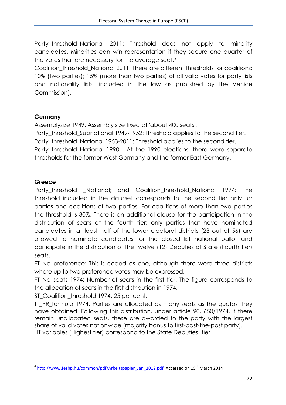Party threshold National 2011: Threshold does not apply to minority candidates. Minorities can win representation if they secure one quarter of the votes that are necessary for the average seat.4

Coalition threshold National 2011: There are different thresholds for coalitions: 10% (two parties); 15% (more than two parties) of all valid votes for party lists and nationality lists (included in the law as published by the Venice Commission).

# **Germany**

Assemblysize 1949: Assembly size fixed at 'about 400 seats'.

Party threshold Subnational 1949-1952: Threshold applies to the second tier. Party threshold National 1953-2011: Threshold applies to the second tier. Party\_threshold\_National 1990: At the 1990 elections, there were separate thresholds for the former West Germany and the former East Germany.

# **Greece**

Party\_threshold \_National; and Coalition\_threshold\_National 1974: The threshold included in the dataset corresponds to the second tier only for parties and coalitions of two parties. For coalitions of more than two parties the threshold is 30%. There is an additional clause for the participation in the distribution of seats at the fourth tier: only parties that have nominated candidates in at least half of the lower electoral districts (23 out of 56) are allowed to nominate candidates for the closed list national ballot and participate in the distribution of the twelve (12) Deputies of State (Fourth Tier) seats.

FT\_No\_preference: This is coded as one, although there were three districts where up to two preference votes may be expressed.

FT\_No\_seats 1974: Number of seats in the first tier: The figure corresponds to the allocation of seats in the first distribution in 1974.

ST Coalition threshold 1974: 25 per cent.

<u> 1989 - Johann Stein, marwolaethau a bh</u>

TT PR formula 1974: Parties are allocated as many seats as the quotas they have obtained. Following this distribution, under article 90, 650/1974, if there remain unallocated seats, these are awarded to the party with the largest share of valid votes nationwide (majority bonus to first-past-the-post party). HT variables (Highest tier) correspond to the State Deputies' tier.

 $4 \frac{\text{http://www.fesbp.hu/common/pdf/Arbeitspapier_Jan_2012.pdf.}$  Accessed on  $15^{\text{th}}$  March 2014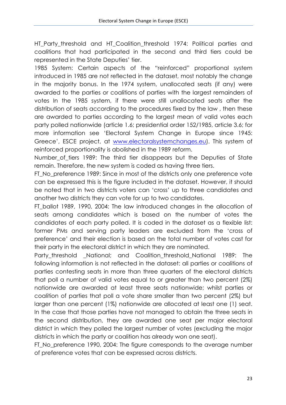HT\_Party\_threshold and HT\_Coalition\_threshold 1974: Political parties and coalitions that had participated in the second and third tiers could be represented in the State Deputies' tier.

1985 System: Certain aspects of the "reinforced" proportional system introduced in 1985 are not reflected in the dataset, most notably the change in the majority bonus. In the 1974 system, unallocated seats (if any) were awarded to the parties or coalitions of parties with the largest remainders of votes In the 1985 system, if there were still unallocated seats after the distribution of seats according to the procedures fixed by the law , then these are awarded to parties according to the largest mean of valid votes each party polled nationwide (article 1.6; presidential order 152/1985, article 3.6; for more information see 'Electoral System Change in Europe since 1945: Greece', ESCE project, at www.electoralsystemchanges.eu). This system of reinforced proportionality is abolished in the 1989 reform.

Number of tiers 1989: The third tier disappears but the Deputies of State remain. Therefore, the new system is coded as having three tiers.

FT No preference 1989: Since in most of the districts only one preference vote can be expressed this is the figure included in the dataset. However, it should be noted that in two districts voters can 'cross' up to three candidates and another two districts they can vote for up to two candidates.

FT\_ballot 1989, 1990, 2004: The law introduced changes in the allocation of seats among candidates which is based on the number of votes the candidates of each party polled. It is coded in the dataset as a flexible list: former PMs and serving party leaders are excluded from the 'cross of preference' and their election is based on the total number of votes cast for their party in the electoral district in which they are nominated.

Party threshold \_National; and Coalition threshold National 1989: The following information is not reflected in the dataset: all parties or coalitions of parties contesting seats in more than three quarters of the electoral districts that poll a number of valid votes equal to or greater than two percent (2%) nationwide are awarded at least three seats nationwide; whilst parties or coalition of parties that poll a vote share smaller than two percent (2%) but larger than one percent (1%) nationwide are allocated at least one (1) seat. In the case that those parties have not managed to obtain the three seats in the second distribution, they are awarded one seat per major electoral district in which they polled the largest number of votes (excluding the major districts in which the party or coalition has already won one seat).

FT No preference 1990, 2004: The figure corresponds to the average number of preference votes that can be expressed across districts.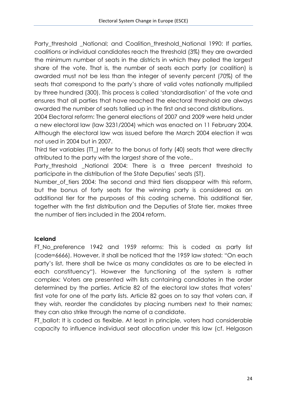Party\_threshold \_National; and Coalition\_threshold\_National 1990: If parties, coalitions or individual candidates reach the threshold (3%) they are awarded the minimum number of seats in the districts in which they polled the largest share of the vote. That is, the number of seats each party (or coalition) is awarded must not be less than the integer of seventy percent (70%) of the seats that correspond to the party's share of valid votes nationally multiplied by three hundred (300). This process is called 'standardisation' of the vote and ensures that all parties that have reached the electoral threshold are always awarded the number of seats tallied up in the first and second distributions.

2004 Electoral reform: The general elections of 2007 and 2009 were held under a new electoral law (law 3231/2004) which was enacted on 11 February 2004. Although the electoral law was issued before the March 2004 election it was not used in 2004 but in 2007.

Third tier variables (TT\_) refer to the bonus of forty (40) seats that were directly attributed to the party with the largest share of the vote..

Party threshold National 2004: There is a three percent threshold to participate in the distribution of the State Deputies' seats (ST).

Number of tiers 2004: The second and third tiers disappear with this reform, but the bonus of forty seats for the winning party is considered as an additional tier for the purposes of this coding scheme. This additional tier, together with the first distribution and the Deputies of State tier, makes three the number of tiers included in the 2004 reform.

# **Iceland**

FT\_No\_preference 1942 and 1959 reforms: This is coded as party list (code=6666). However, it shall be noticed that the 1959 law stated: "On each party's list, there shall be twice as many candidates as are to be elected in each constituency"). However the functioning of the system is rather complex: Voters are presented with lists containing candidates in the order determined by the parties. Article 82 of the electoral law states that voters' first vote for one of the party lists. Article 82 goes on to say that voters can, if they wish, reorder the candidates by placing numbers next to their names; they can also strike through the name of a candidate.

FT\_ballot: It is coded as flexible. At least in principle, voters had considerable capacity to influence individual seat allocation under this law (cf. Helgason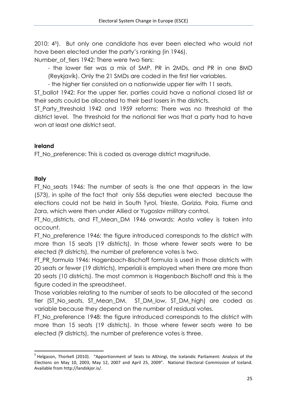2010: 45). But only one candidate has ever been elected who would not have been elected under the party's ranking (in 1946).

Number of tiers 1942: There were two tiers:

- the lower tier was a mix of SMP, PR in 2MDs, and PR in one 8MD (Reykjavík). Only the 21 SMDs are coded in the first tier variables.

- the higher tier consisted on a nationwide upper tier with 11 seats.

ST ballot 1942: For the upper tier, parties could have a national closed list or their seats could be allocated to their best losers in the districts.

ST Party threshold 1942 and 1959 reforms: There was no threshold at the district level. The threshold for the national tier was that a party had to have won at least one district seat.

# **Ireland**

FT No preference: This is coded as average district magnitude.

# **Italy**

<u> 1989 - Johann Stein, marwolaethau a bh</u>

FT No seats 1946: The number of seats is the one that appears in the law (573), in spite of the fact that only 556 deputies were elected because the elections could not be held in South Tyrol, Trieste, Gorizia, Pola, Fiume and Zara, which were then under Allied or Yugoslav military control.

FT No districts, and FT Mean DM 1946 onwards: Aosta valley is taken into account.

FT No preference 1946: the figure introduced corresponds to the district with more than 15 seats (19 districts). In those where fewer seats were to be elected (9 districts), the number of preference votes is two.

FT PR formula 1946: Hagenbach-Bischoff formula is used in those districts with 20 seats or fewer (19 districts), Imperiali is employed when there are more than 20 seats (10 districts). The most common is Hagenbach Bischoff and this is the figure coded in the spreadsheet.

Those variables relating to the number of seats to be allocated at the second tier (ST\_No\_seats, ST\_Mean\_DM, ST\_DM\_low, ST\_DM\_high) are coded as variable because they depend on the number of residual votes.

FT\_No\_preference 1948: the figure introduced corresponds to the district with more than 15 seats (19 districts). In those where fewer seats were to be elected (9 districts), the number of preference votes is three.

 $<sup>5</sup>$  Helgason, Thorkell (2010). "Apportionment of Seats to Althingi, the Icelandic Parliament: Analysis of the</sup> Elections on May 10, 2003, May 12, 2007 and April 25, 2009". National Electoral Commission of Iceland. Available from http://landskjor.is/.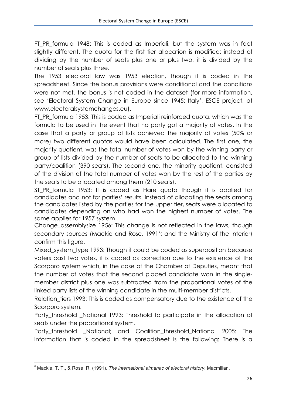FT PR formula 1948: This is coded as Imperiali, but the system was in fact slightly different. The quota for the first tier allocation is modified: instead of dividing by the number of seats plus one or plus two, it is divided by the number of seats plus three.

The 1953 electoral law was 1953 election, though it is coded in the spreadsheet. Since the bonus provisions were conditional and the conditions were not met, the bonus is not coded in the dataset (for more information, see 'Electoral System Change in Europe since 1945: Italy', ESCE project, at www.electoralsystemchanges.eu).

FT\_PR\_formula 1953: This is coded as Imperiali reinforced quota, which was the formula to be used in the event that no party got a majority of votes. In the case that a party or group of lists achieved the majority of votes (50% or more) two different quotas would have been calculated. The first one, the majority quotient, was the total number of votes won by the winning party or group of lists divided by the number of seats to be allocated to the winning party/coalition (390 seats). The second one, the minority quotient, consisted of the division of the total number of votes won by the rest of the parties by the seats to be allocated among them (210 seats).

ST PR formula 1953: It is coded as Hare quota though it is applied for candidates and not for parties' results. Instead of allocating the seats among the candidates listed by the parties for the upper tier, seats were allocated to candidates depending on who had won the highest number of votes. The same applies for 1957 system.

Change\_assemblysize 1956: This change is not reflected in the laws, though secondary sources (Mackie and Rose, 1991<sup>6</sup>; and the Ministry of the Interior) confirm this figure.

Mixed system type 1993: Though it could be coded as superposition because voters cast two votes, it is coded as correction due to the existence of the Scorporo system which, in the case of the Chamber of Deputies, meant that the number of votes that the second placed candidate won in the singlemember district plus one was subtracted from the proportional votes of the linked party lists of the winning candidate in the multi-member districts.

Relation tiers 1993: This is coded as compensatory due to the existence of the Scorporo system.

Party threshold National 1993: Threshold to participate in the allocation of seats under the proportional system.

Party\_threshold \_National; and Coalition\_threshold\_National 2005: The information that is coded in the spreadsheet is the following: There is a

<u> 1989 - Johann Stein, marwolaethau a bh</u>

<sup>6</sup> Mackie, T. T., & Rose, R. (1991). *The international almanac of electoral history*. Macmillan.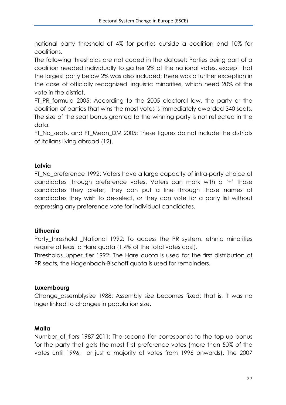national party threshold of 4% for parties outside a coalition and 10% for coalitions.

The following thresholds are not coded in the dataset: Parties being part of a coalition needed individually to gather 2% of the national votes, except that the largest party below 2% was also included; there was a further exception in the case of officially recognized linguistic minorities, which need 20% of the vote in the district.

FT\_PR\_formula 2005: According to the 2005 electoral law, the party or the coalition of parties that wins the most votes is immediately awarded 340 seats. The size of the seat bonus granted to the winning party is not reflected in the data.

FT\_No\_seats, and FT\_Mean\_DM 2005: These figures do not include the districts of Italians living abroad (12).

### **Latvia**

FT\_No\_preference 1992: Voters have a large capacity of intra-party choice of candidates through preference votes. Voters can mark with a '+' those candidates they prefer, they can put a line through those names of candidates they wish to de-select, or they can vote for a party list without expressing any preference vote for individual candidates.

#### **Lithuania**

Party\_threshold \_National 1992: To access the PR system, ethnic minorities require at least a Hare quota (1.4% of the total votes cast).

Thresholds upper tier 1992: The Hare quota is used for the first distribution of PR seats, the Hagenbach-Bischoff quota is used for remainders.

#### **Luxembourg**

Change\_assemblysize 1988: Assembly size becomes fixed; that is, it was no lnger linked to changes in population size.

#### **Malta**

Number\_of\_tiers 1987-2011: The second tier corresponds to the top-up bonus for the party that gets the most first preference votes (more than 50% of the votes until 1996, or just a majority of votes from 1996 onwards). The 2007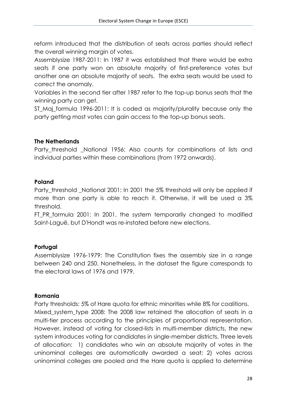reform introduced that the distribution of seats across parties should reflect the overall winning margin of votes.

Assemblysize 1987-2011: In 1987 it was established that there would be extra seats if one party won an absolute majority of first-preference votes but another one an absolute majority of seats. The extra seats would be used to correct the anomaly.

Variables in the second tier after 1987 refer to the top-up bonus seats that the winning party can get.

ST\_Maj\_formula 1996-2011: It is coded as majority/plurality because only the party getting most votes can gain access to the top-up bonus seats.

### **The Netherlands**

Party\_threshold \_National 1956: Also counts for combinations of lists and individual parties within these combinations (from 1972 onwards).

### **Poland**

Party threshold National 2001: In 2001 the 5% threshold will only be applied if more than one party is able to reach it. Otherwise, it will be used a 3% threshold.

FT\_PR\_formula 2001: In 2001, the system temporarily changed to modified Saint-Laguë, but D'Hondt was re-instated before new elections.

# **Portugal**

Assemblysize 1976-1979: The Constitution fixes the assembly size in a range between 240 and 250. Nonetheless, in the dataset the figure corresponds to the electoral laws of 1976 and 1979.

# **Romania**

Party thresholds: 5% of Hare quota for ethnic minorities while 8% for coalitions. Mixed system type 2008: The 2008 law retained the allocation of seats in a multi-tier process according to the principles of proportional representation. However, instead of voting for closed-lists in multi-member districts, the new system introduces voting for candidates in single-member districts. Three levels of allocation: 1) candidates who win an absolute majority of votes in the uninominal colleges are automatically awarded a seat; 2) votes across uninominal colleges are pooled and the Hare quota is applied to determine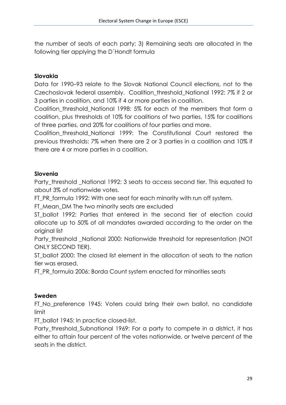the number of seats of each party; 3) Remaining seats are allocated in the following tier applying the D´Hondt formula

### **Slovakia**

Data for 1990–93 relate to the Slovak National Council elections, not to the Czechoslovak federal assembly. Coalition\_threshold\_National 1992: 7% if 2 or 3 parties in coalition, and 10% if 4 or more parties in coalition.

Coalition\_threshold\_National 1998: 5% for each of the members that form a coalition, plus thresholds of 10% for coalitions of two parties, 15% for coalitions of three parties, and 20% for coalitions of four parties and more.

Coalition\_threshold\_National 1999: The Constitutional Court restored the previous thresholds: 7% when there are 2 or 3 parties in a coalition and 10% if there are 4 or more parties in a coalition.

### **Slovenia**

Party threshold National 1992: 3 seats to access second tier. This equated to about 3% of nationwide votes.

FT\_PR\_formula 1992: With one seat for each minority with run off system.

FT\_Mean\_DM The two minority seats are excluded

ST ballot 1992: Parties that entered in the second tier of election could allocate up to 50% of all mandates awarded according to the order on the original list

Party\_threshold \_National 2000: Nationwide threshold for representation (NOT ONLY SECOND TIER).

ST ballot 2000: The closed list element in the allocation of seats to the nation tier was erased.

FT\_PR\_formula 2006: Borda Count system enacted for minorities seats

# **Sweden**

FT\_No\_preference 1945: Voters could bring their own ballot, no candidate limit

FT\_ballot 1945: In practice closed-list.

Party threshold Subnational 1969: For a party to compete in a district, it has either to attain four percent of the votes nationwide, or twelve percent of the seats in the district.